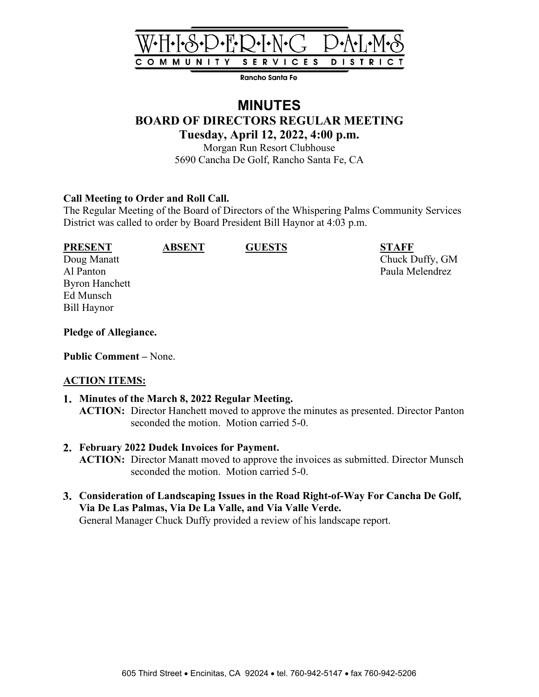

Rancho Santa Fe

# **MINUTES BOARD OF DIRECTORS REGULAR MEETING Tuesday, April 12, 2022, 4:00 p.m.**

Morgan Run Resort Clubhouse 5690 Cancha De Golf, Rancho Santa Fe, CA

#### **Call Meeting to Order and Roll Call.**

The Regular Meeting of the Board of Directors of the Whispering Palms Community Services District was called to order by Board President Bill Haynor at 4:03 p.m.

Byron Hanchett Ed Munsch Bill Haynor

**PRESENT ABSENT GUESTS STAFF**

Doug Manatt Chuck Duffy, GM Al Panton Paula Melendrez

#### **Pledge of Allegiance.**

**Public Comment –** None.

#### **ACTION ITEMS:**

- **Minutes of the March 8, 2022 Regular Meeting. ACTION:** Director Hanchett moved to approve the minutes as presented. Director Panton seconded the motion. Motion carried 5-0.
- **February 2022 Dudek Invoices for Payment. ACTION:** Director Manatt moved to approve the invoices as submitted. Director Munsch seconded the motion. Motion carried 5-0.
- **Consideration of Landscaping Issues in the Road Right-of-Way For Cancha De Golf, Via De Las Palmas, Via De La Valle, and Via Valle Verde.** General Manager Chuck Duffy provided a review of his landscape report.